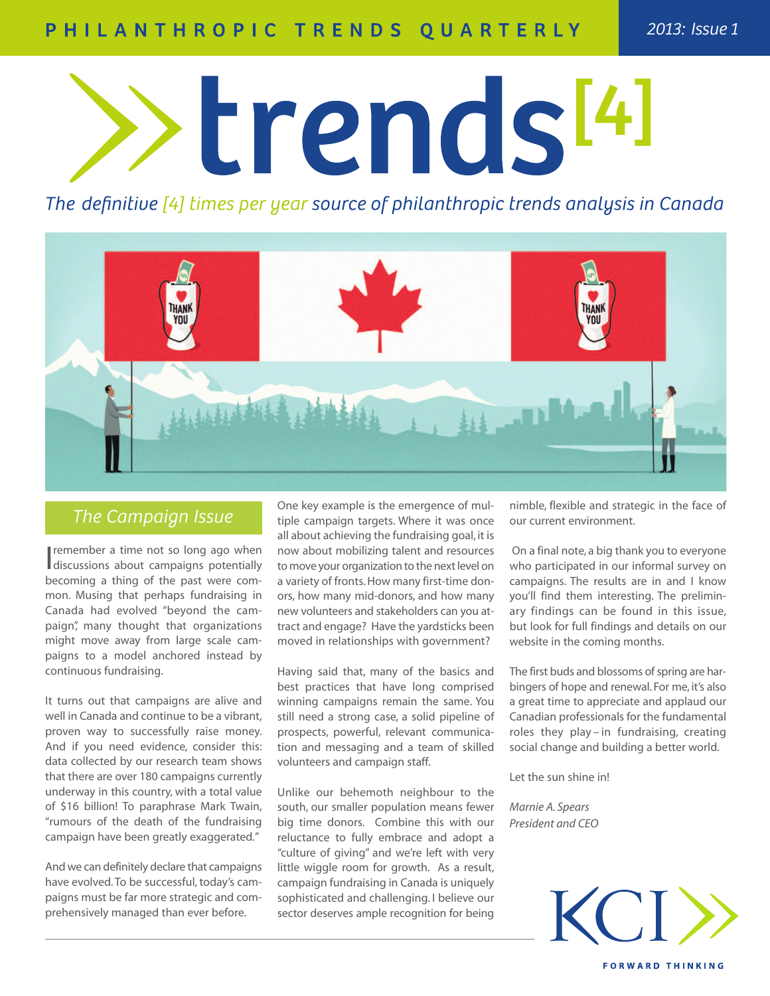# PHILANTHROPIC TRENDS QUARTERLY

trends<sup>14</sup>

The definitive [4] times per year source of philanthropic trends analysis in Canada



## *The Campaign Issue*

I remember a time not so long ago when<br>I discussions about campaigns potentially remember a time not so long ago when becoming a thing of the past were common. Musing that perhaps fundraising in Canada had evolved "beyond the campaign", many thought that organizations might move away from large scale campaigns to a model anchored instead by continuous fundraising.

It turns out that campaigns are alive and well in Canada and continue to be a vibrant, proven way to successfully raise money. And if you need evidence, consider this: data collected by our research team shows that there are over 180 campaigns currently underway in this country, with a total value of \$16 billion! To paraphrase Mark Twain, "rumours of the death of the fundraising campaign have been greatly exaggerated."

And we can definitely declare that campaigns have evolved. To be successful, today's campaigns must be far more strategic and comprehensively managed than ever before.

One key example is the emergence of multiple campaign targets. Where it was once all about achieving the fundraising goal, it is now about mobilizing talent and resources to move your organization to the next level on a variety of fronts.How many first-time donors, how many mid-donors, and how many new volunteers and stakeholders can you attract and engage? Have the yardsticks been moved in relationships with government?

Having said that, many of the basics and best practices that have long comprised winning campaigns remain the same. You still need a strong case, a solid pipeline of prospects, powerful, relevant communication and messaging and a team of skilled volunteers and campaign staff.

Unlike our behemoth neighbour to the south, our smaller population means fewer big time donors. Combine this with our reluctance to fully embrace and adopt a "culture of giving" and we're left with very little wiggle room for growth. As a result, campaign fundraising in Canada is uniquely sophisticated and challenging. I believe our sector deserves ample recognition for being

nimble, flexible and strategic in the face of our current environment.

On a final note, a big thank you to everyone who participated in our informal survey on campaigns. The results are in and I know you'll find them interesting. The preliminary findings can be found in this issue, but look for full findings and details on our website in the coming months.

The first buds and blossoms of spring are harbingers of hope and renewal. For me, it's also a great time to appreciate and applaud our Canadian professionals for the fundamental roles they play – in fundraising, creating social change and building a better world.

Let the sun shine in!

*Marnie A. Spears President and CEO*

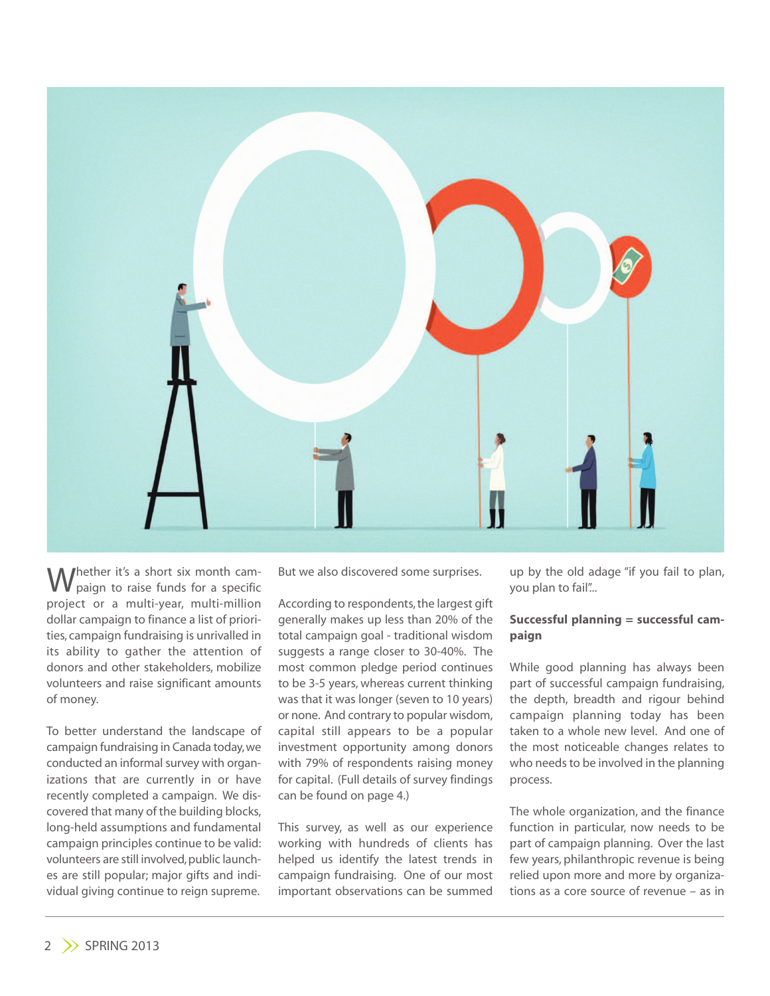

Whether it's a short six month cam-<br>W paign to raise funds for a specific project or a multi-year, multi-million dollar campaign to finance a list of priorities, campaign fundraising is unrivalled in its ability to gather the attention of donors and other stakeholders, mobilize volunteers and raise significant amounts of money.

To better understand the landscape of campaign fundraising in Canada today,we conducted an informal survey with organizations that are currently in or have recently completed a campaign. We discovered that many of the building blocks, long-held assumptions and fundamental campaign principles continue to be valid: volunteers are still involved, public launches are still popular; major gifts and individual giving continue to reign supreme.

But we also discovered some surprises.

According to respondents, the largest gift generally makes up less than 20% of the total campaign goal - traditional wisdom suggests a range closer to 30-40%. The most common pledge period continues to be 3-5 years, whereas current thinking was that it was longer (seven to 10 years) or none. And contrary to popular wisdom, capital still appears to be a popular investment opportunity among donors with 79% of respondents raising money for capital. (Full details of survey findings can be found on page 4.)

This survey, as well as our experience working with hundreds of clients has helped us identify the latest trends in campaign fundraising. One of our most important observations can be summed up by the old adage "if you fail to plan, you plan to fail"...

## **Successful planning = successful campaign**

While good planning has always been part of successful campaign fundraising, the depth, breadth and rigour behind campaign planning today has been taken to a whole new level. And one of the most noticeable changes relates to who needs to be involved in the planning process.

The whole organization, and the finance function in particular, now needs to be part of campaign planning. Over the last few years, philanthropic revenue is being relied upon more and more by organizations as a core source of revenue – as in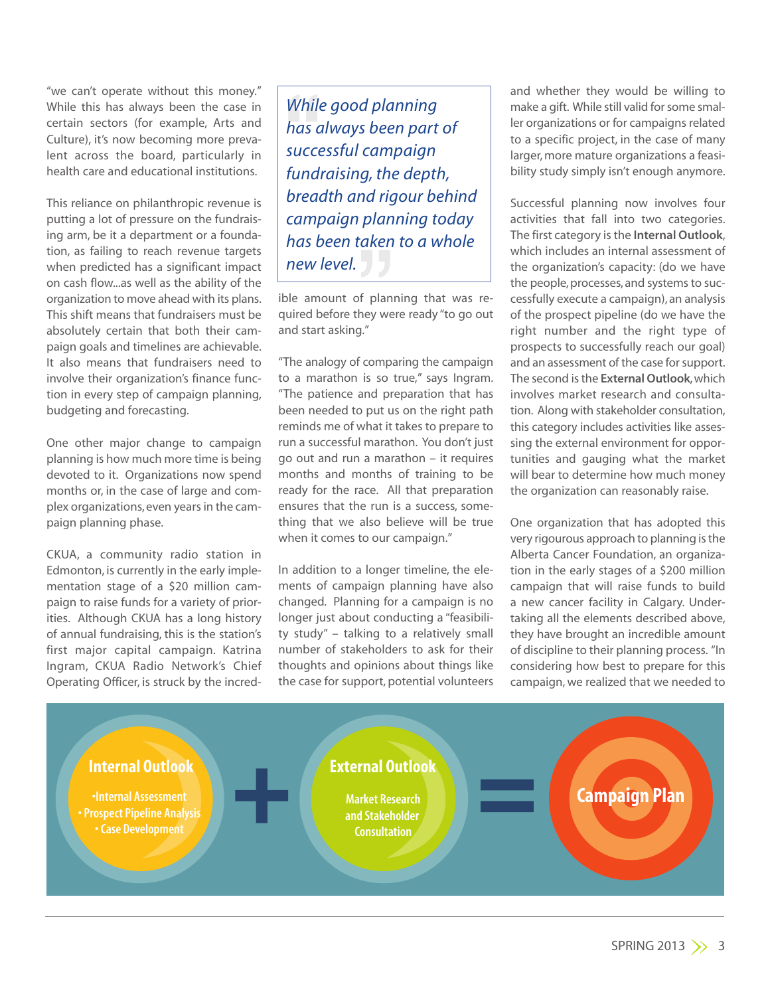"we can't operate without this money." While this has always been the case in certain sectors (for example, Arts and Culture), it's now becoming more prevalent across the board, particularly in health care and educational institutions.

This reliance on philanthropic revenue is putting a lot of pressure on the fundraising arm, be it a department or a foundation, as failing to reach revenue targets when predicted has a significant impact on cash flow...as well as the ability of the organization to move ahead with its plans. This shift means that fundraisers must be absolutely certain that both their campaign goals and timelines are achievable. It also means that fundraisers need to involve their organization's finance function in every step of campaign planning, budgeting and forecasting.

One other major change to campaign planning is how much more time is being devoted to it. Organizations now spend months or, in the case of large and complex organizations, even years in the campaign planning phase.

CKUA, a community radio station in Edmonton, is currently in the early implementation stage of a \$20 million campaign to raise funds for a variety of priorities. Although CKUA has a long history of annual fundraising, this is the station's first major capital campaign. Katrina Ingram, CKUA Radio Network's Chief Operating Officer, is struck by the incred-

While<br>has c<br>succe<br>fund<br>brea na ng<br>plan<br>aken<br>J *While good planning has always been part of successful campaign fundraising, the depth, breadth and rigour behind campaign planning today has been taken to a whole new level.*

ible amount of planning that was required before they were ready "to go out and start asking."

"The analogy of comparing the campaign to a marathon is so true," says Ingram. "The patience and preparation that has been needed to put us on the right path reminds me of what it takes to prepare to run a successful marathon. You don't just go out and run a marathon – it requires months and months of training to be ready for the race. All that preparation ensures that the run is a success, something that we also believe will be true when it comes to our campaign."

In addition to a longer timeline, the elements of campaign planning have also changed. Planning for a campaign is no longer just about conducting a "feasibility study" – talking to a relatively small number of stakeholders to ask for their thoughts and opinions about things like the case for support, potential volunteers

and whether they would be willing to make a gift. While still valid for some smaller organizations or for campaigns related to a specific project, in the case of many larger, more mature organizations a feasibility study simply isn't enough anymore.

Successful planning now involves four activities that fall into two categories. The first category isthe **Internal Outlook**, which includes an internal assessment of the organization's capacity: (do we have the people, processes, and systems to successfully execute a campaign), an analysis of the prospect pipeline (do we have the right number and the right type of prospects to successfully reach our goal) and an assessment of the case for support. The second isthe **External Outlook**,which involves market research and consultation. Along with stakeholder consultation, this category includes activities like assessing the external environment for opportunities and gauging what the market will bear to determine how much money the organization can reasonably raise.

One organization that has adopted this very rigourous approach to planning isthe Alberta Cancer Foundation, an organization in the early stages of a \$200 million campaign that will raise funds to build a new cancer facility in Calgary. Undertaking all the elements described above, they have brought an incredible amount of discipline to their planning process. "In considering how best to prepare for this campaign, we realized that we needed to

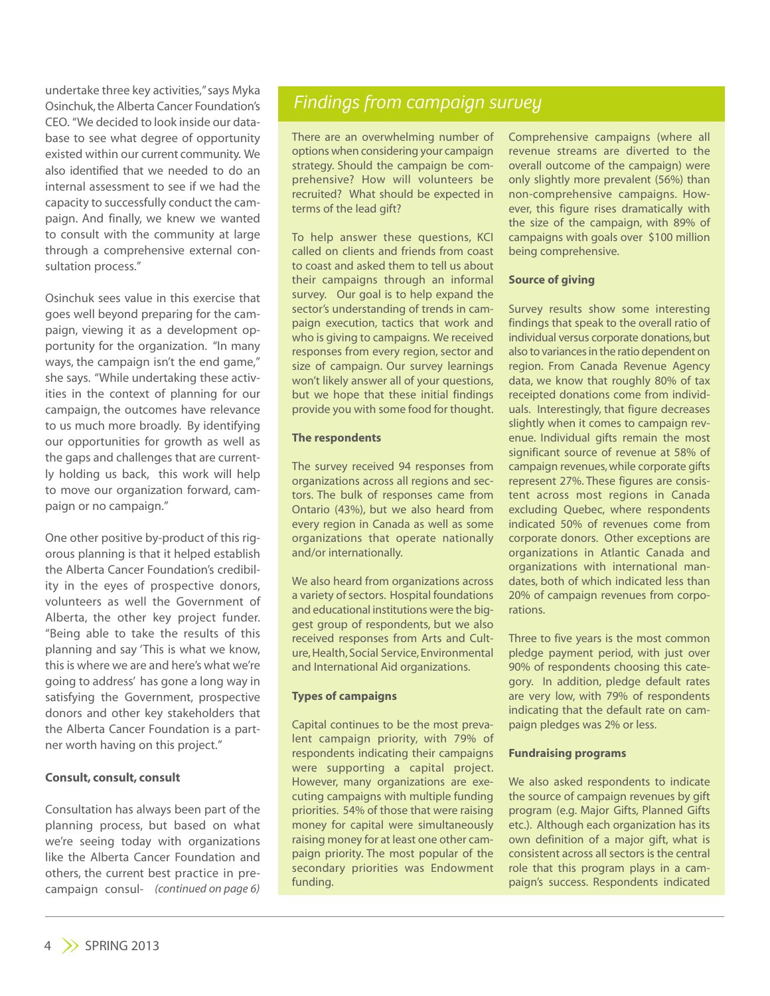undertake three key activities,"says Myka Osinchuk,the Alberta Cancer Foundation's CEO. "We decided to look inside our database to see what degree of opportunity existed within our current community. We also identified that we needed to do an internal assessment to see if we had the capacity to successfully conduct the campaign. And finally, we knew we wanted to consult with the community at large through a comprehensive external consultation process."

Osinchuk sees value in this exercise that goes well beyond preparing for the campaign, viewing it as a development opportunity for the organization. "In many ways, the campaign isn't the end game," she says. "While undertaking these activities in the context of planning for our campaign, the outcomes have relevance to us much more broadly. By identifying our opportunities for growth as well as the gaps and challenges that are currently holding us back, this work will help to move our organization forward, campaign or no campaign."

One other positive by-product of this rigorous planning is that it helped establish the Alberta Cancer Foundation's credibility in the eyes of prospective donors, volunteers as well the Government of Alberta, the other key project funder. "Being able to take the results of this planning and say 'This is what we know, this is where we are and here's what we're going to address' has gone a long way in satisfying the Government, prospective donors and other key stakeholders that the Alberta Cancer Foundation is a partner worth having on this project."

## **Consult, consult, consult**

Consultation has always been part of the planning process, but based on what we're seeing today with organizations like the Alberta Cancer Foundation and others, the current best practice in precampaign consul- (continued on page 6)

## *Findings from campaign survey*

There are an overwhelming number of options when considering your campaign strategy. Should the campaign be comprehensive? How will volunteers be recruited? What should be expected in terms of the lead gift?

To help answer these questions, KCI called on clients and friends from coast to coast and asked them to tell us about their campaigns through an informal survey. Our goal is to help expand the sector's understanding of trends in campaign execution, tactics that work and who is giving to campaigns. We received responses from every region, sector and size of campaign. Our survey learnings won't likely answer all of your questions, but we hope that these initial findings provide you with some food for thought.

#### **The respondents**

The survey received 94 responses from organizations across all regions and sectors. The bulk of responses came from Ontario (43%), but we also heard from every region in Canada as well as some organizations that operate nationally and/or internationally.

We also heard from organizations across a variety of sectors. Hospital foundations and educational institutions were the biggest group of respondents, but we also received responses from Arts and Culture, Health, Social Service, Environmental and International Aid organizations.

### **Types of campaigns**

Capital continues to be the most prevalent campaign priority, with 79% of respondents indicating their campaigns were supporting a capital project. However, many organizations are executing campaigns with multiple funding priorities. 54% of those that were raising money for capital were simultaneously raising money for at least one other campaign priority. The most popular of the secondary priorities was Endowment funding.

Comprehensive campaigns (where all revenue streams are diverted to the overall outcome of the campaign) were only slightly more prevalent (56%) than non-comprehensive campaigns. However, this figure rises dramatically with the size of the campaign, with 89% of campaigns with goals over \$100 million being comprehensive.

#### **Source of giving**

Survey results show some interesting findings that speak to the overall ratio of individual versus corporate donations, but also to variances in the ratio dependent on region. From Canada Revenue Agency data, we know that roughly 80% of tax receipted donations come from individuals. Interestingly, that figure decreases slightly when it comes to campaign revenue. Individual gifts remain the most significant source of revenue at 58% of campaign revenues,while corporate gifts represent 27%. These figures are consistent across most regions in Canada excluding Quebec, where respondents indicated 50% of revenues come from corporate donors. Other exceptions are organizations in Atlantic Canada and organizations with international mandates, both of which indicated less than 20% of campaign revenues from corporations.

Three to five years is the most common pledge payment period, with just over 90% of respondents choosing this category. In addition, pledge default rates are very low, with 79% of respondents indicating that the default rate on campaign pledges was 2% or less.

#### **Fundraising programs**

We also asked respondents to indicate the source of campaign revenues by gift program (e.g. Major Gifts, Planned Gifts etc.). Although each organization has its own definition of a major gift, what is consistent across all sectors is the central role that this program plays in a campaign's success. Respondents indicated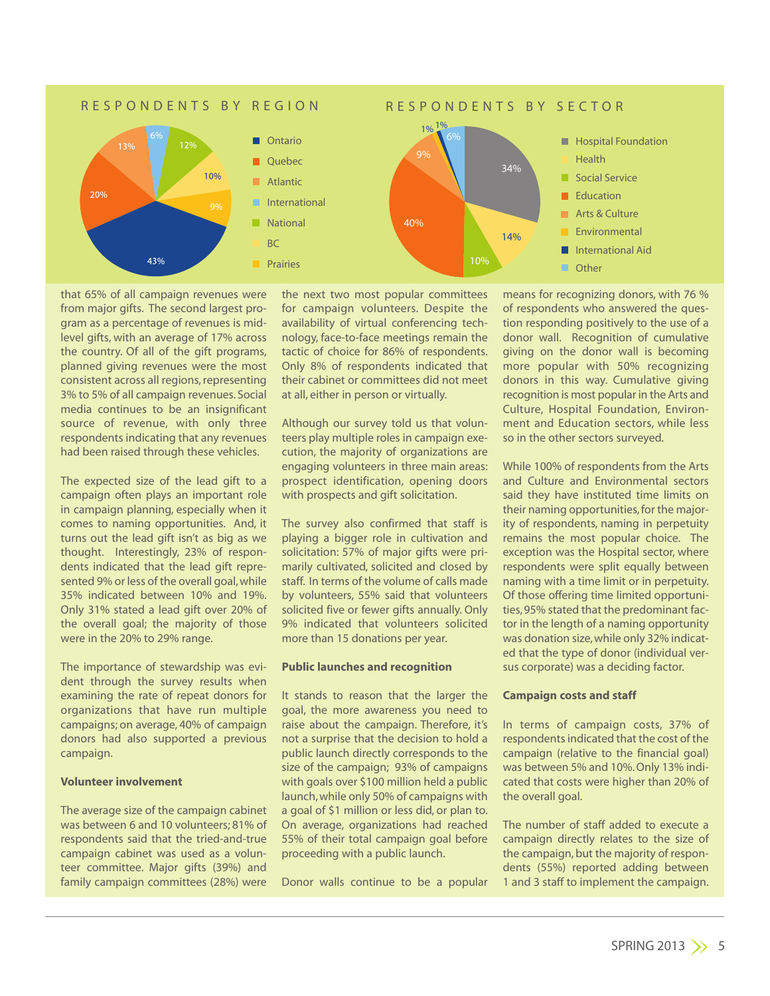

that 65% of all campaign revenues were from major gifts. The second largest program as a percentage of revenues is midlevel gifts, with an average of 17% across the country. Of all of the gift programs, planned giving revenues were the most consistent across all regions, representing 3% to 5% of all campaign revenues. Social media continues to be an insignificant source of revenue, with only three respondents indicating that any revenues had been raised through these vehicles.

The expected size of the lead gift to a campaign often plays an important role in campaign planning, especially when it comes to naming opportunities. And, it turns out the lead gift isn't as big as we thought. Interestingly, 23% of respondents indicated that the lead gift represented 9% or less of the overall goal,while 35% indicated between 10% and 19%. Only 31% stated a lead gift over 20% of the overall goal; the majority of those were in the 20% to 29% range.

The importance of stewardship was evident through the survey results when examining the rate of repeat donors for organizations that have run multiple campaigns; on average, 40% of campaign donors had also supported a previous campaign.

## **Volunteer involvement**

The average size of the campaign cabinet was between 6 and 10 volunteers; 81% of respondents said that the tried-and-true campaign cabinet was used as a volunteer committee. Major gifts (39%) and family campaign committees (28%) were the next two most popular committees for campaign volunteers. Despite the availability of virtual conferencing technology, face-to-face meetings remain the tactic of choice for 86% of respondents. Only 8% of respondents indicated that their cabinet or committees did not meet at all, either in person or virtually.

Although our survey told us that volunteers play multiple roles in campaign execution, the majority of organizations are engaging volunteers in three main areas: prospect identification, opening doors with prospects and gift solicitation.

The survey also confirmed that staff is playing a bigger role in cultivation and solicitation: 57% of major gifts were primarily cultivated, solicited and closed by staff. In terms of the volume of calls made by volunteers, 55% said that volunteers solicited five or fewer gifts annually. Only 9% indicated that volunteers solicited more than 15 donations per year.

#### **Public launches and recognition**

It stands to reason that the larger the goal, the more awareness you need to raise about the campaign. Therefore, it's not a surprise that the decision to hold a public launch directly corresponds to the size of the campaign; 93% of campaigns with goals over \$100 million held a public launch,while only 50% of campaigns with a goal of \$1 million or less did, or plan to. On average, organizations had reached 55% of their total campaign goal before proceeding with a public launch.

Donor walls continue to be a popular

means for recognizing donors, with 76 % of respondents who answered the question responding positively to the use of a donor wall. Recognition of cumulative giving on the donor wall is becoming more popular with 50% recognizing donors in this way. Cumulative giving recognition is most popular in the Arts and Culture, Hospital Foundation, Environment and Education sectors, while less so in the other sectors surveyed.

While 100% of respondents from the Arts and Culture and Environmental sectors said they have instituted time limits on their naming opportunities,for the majority of respondents, naming in perpetuity remains the most popular choice. The exception was the Hospital sector, where respondents were split equally between naming with a time limit or in perpetuity. Of those offering time limited opportunities,95% stated that the predominant factor in the length of a naming opportunity was donation size,while only 32% indicated that the type of donor (individual versus corporate) was a deciding factor.

#### **Campaign costs and staff**

In terms of campaign costs, 37% of respondents indicated that the cost of the campaign (relative to the financial goal) was between 5% and 10%.Only 13% indicated that costs were higher than 20% of the overall goal.

The number of staff added to execute a campaign directly relates to the size of the campaign, but the majority of respondents (55%) reported adding between 1 and 3 staff to implement the campaign.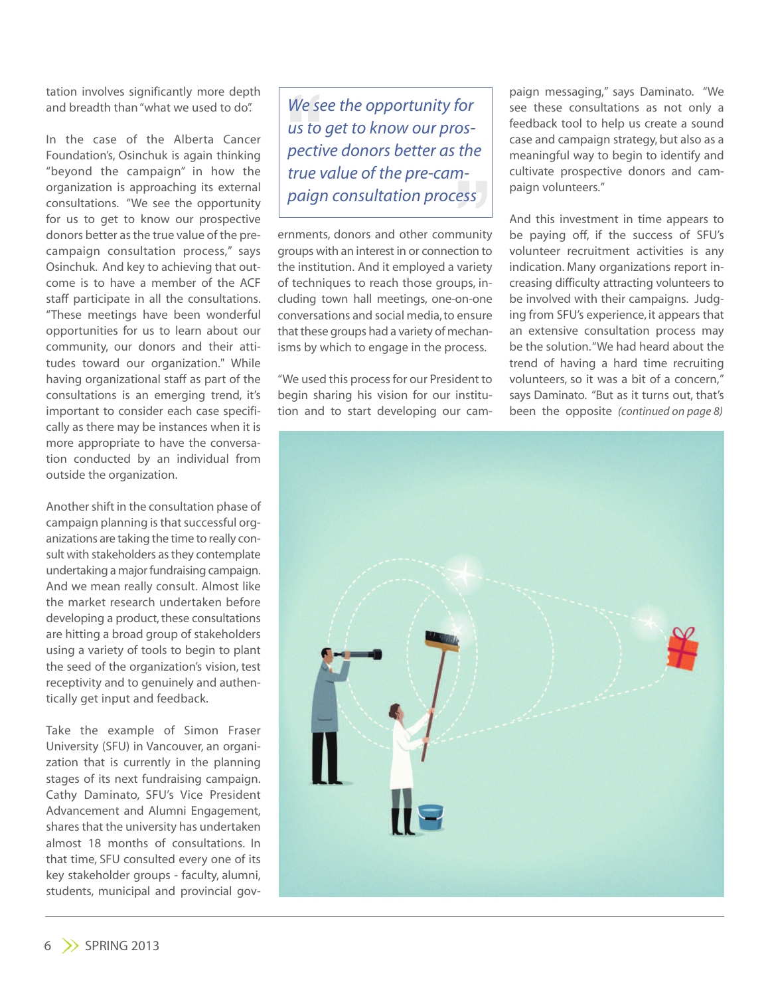tation involves significantly more depth and breadth than"what we used to do".

In the case of the Alberta Cancer Foundation's, Osinchuk is again thinking "beyond the campaign" in how the organization is approaching its external consultations. "We see the opportunity for us to get to know our prospective donors better as the true value of the precampaign consultation process," says Osinchuk. And key to achieving that outcome is to have a member of the ACF staff participate in all the consultations. "These meetings have been wonderful opportunities for us to learn about our community, our donors and their attitudes toward our organization." While having organizational staff as part of the consultations is an emerging trend, it's important to consider each case specifically as there may be instances when it is more appropriate to have the conversation conducted by an individual from outside the organization.

Another shift in the consultation phase of campaign planning is that successful organizations are taking the time to really consult with stakeholders as they contemplate undertaking a major fundraising campaign. And we mean really consult. Almost like the market research undertaken before developing a product, these consultations are hitting a broad group of stakeholders using a variety of tools to begin to plant the seed of the organization's vision, test receptivity and to genuinely and authentically get input and feedback.

Take the example of Simon Fraser University (SFU) in Vancouver, an organization that is currently in the planning stages of its next fundraising campaign. Cathy Daminato, SFU's Vice President Advancement and Alumni Engagement, shares that the university has undertaken almost 18 months of consultations. In that time, SFU consulted every one of its key stakeholder groups - faculty, alumni, students, municipal and provincial govWe set<br>us to<br>pecti<br>true y *paign consultation prosective donors better as the true value of the pre-campaign consultation process We see the opportunity for us to get to know our prospective donors better as the true value of the pre-cam-*

ernments, donors and other community groups with an interest in or connection to the institution. And it employed a variety of techniques to reach those groups, including town hall meetings, one-on-one conversations and social media,to ensure that these groups had a variety of mechanisms by which to engage in the process.

"We used this process for our President to begin sharing his vision for our institution and to start developing our cam-

paign messaging," says Daminato. "We see these consultations as not only a feedback tool to help us create a sound case and campaign strategy, but also as a meaningful way to begin to identify and cultivate prospective donors and campaign volunteers."

And this investment in time appears to be paying off, if the success of SFU's volunteer recruitment activities is any indication. Many organizations report increasing difficulty attracting volunteers to be involved with their campaigns. Judging from SFU's experience, it appears that an extensive consultation process may be the solution."We had heard about the trend of having a hard time recruiting volunteers, so it was a bit of a concern," says Daminato. "But as it turns out, that's been the opposite *(continued on page 8)*

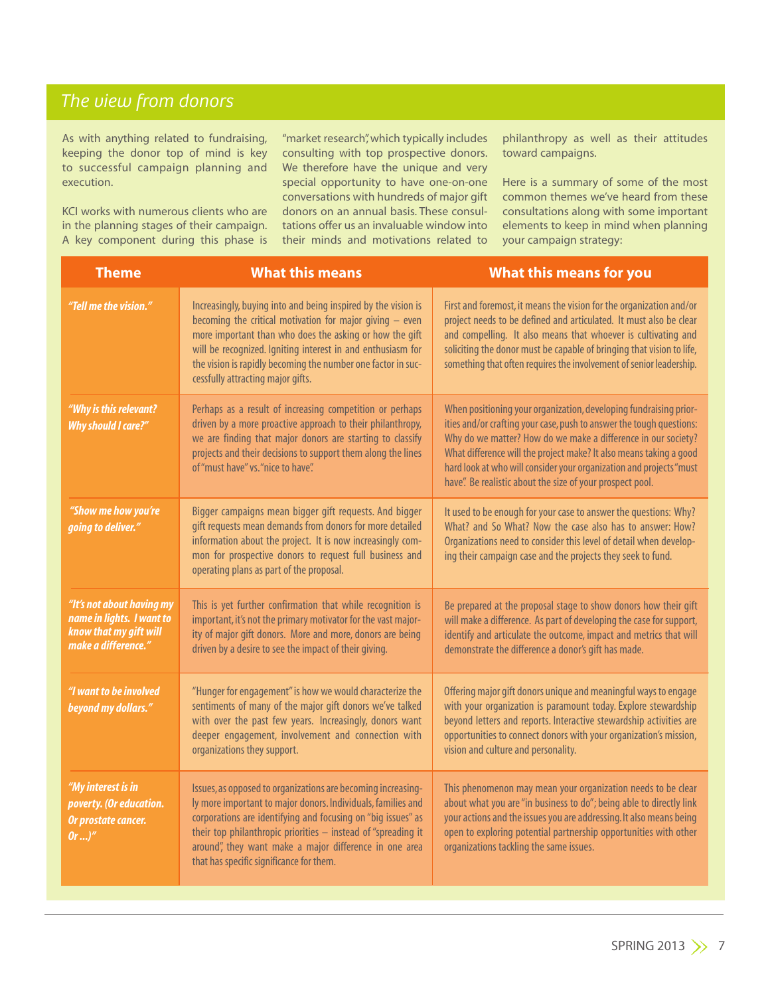# *The view from donors*

As with anything related to fundraising, keeping the donor top of mind is key to successful campaign planning and execution.

KCI works with numerous clients who are in the planning stages of their campaign. A key component during this phase is

"market research", which typically includes consulting with top prospective donors. We therefore have the unique and very special opportunity to have one-on-one conversations with hundreds of major gift donors on an annual basis. These consultations offer us an invaluable window into their minds and motivations related to philanthropy as well as their attitudes toward campaigns.

Here is a summary of some of the most common themes we've heard from these consultations along with some important elements to keep in mind when planning your campaign strategy:

| <b>Theme</b>                                                                                            | <b>What this means</b>                                                                                                                                                                                                                                                                                                                                                | <b>What this means for you</b>                                                                                                                                                                                                                                                                                                                                                                                       |
|---------------------------------------------------------------------------------------------------------|-----------------------------------------------------------------------------------------------------------------------------------------------------------------------------------------------------------------------------------------------------------------------------------------------------------------------------------------------------------------------|----------------------------------------------------------------------------------------------------------------------------------------------------------------------------------------------------------------------------------------------------------------------------------------------------------------------------------------------------------------------------------------------------------------------|
| "Tell me the vision."                                                                                   | Increasingly, buying into and being inspired by the vision is<br>becoming the critical motivation for major giving $-$ even<br>more important than who does the asking or how the gift<br>will be recognized. Igniting interest in and enthusiasm for<br>the vision is rapidly becoming the number one factor in suc-<br>cessfully attracting major gifts.            | First and foremost, it means the vision for the organization and/or<br>project needs to be defined and articulated. It must also be clear<br>and compelling. It also means that whoever is cultivating and<br>soliciting the donor must be capable of bringing that vision to life,<br>something that often requires the involvement of senior leadership.                                                           |
| "Why is this relevant?<br><b>Why should I care?"</b>                                                    | Perhaps as a result of increasing competition or perhaps<br>driven by a more proactive approach to their philanthropy,<br>we are finding that major donors are starting to classify<br>projects and their decisions to support them along the lines<br>of "must have" vs. "nice to have".                                                                             | When positioning your organization, developing fundraising prior-<br>ities and/or crafting your case, push to answer the tough questions:<br>Why do we matter? How do we make a difference in our society?<br>What difference will the project make? It also means taking a good<br>hard look at who will consider your organization and projects "must<br>have". Be realistic about the size of your prospect pool. |
| "Show me how you're<br>going to deliver."                                                               | Bigger campaigns mean bigger gift requests. And bigger<br>gift requests mean demands from donors for more detailed<br>information about the project. It is now increasingly com-<br>mon for prospective donors to request full business and<br>operating plans as part of the proposal.                                                                               | It used to be enough for your case to answer the questions: Why?<br>What? and So What? Now the case also has to answer: How?<br>Organizations need to consider this level of detail when develop-<br>ing their campaign case and the projects they seek to fund.                                                                                                                                                     |
| "It's not about having my<br>name in lights. I want to<br>know that my gift will<br>make a difference." | This is yet further confirmation that while recognition is<br>important, it's not the primary motivator for the vast major-<br>ity of major gift donors. More and more, donors are being<br>driven by a desire to see the impact of their giving.                                                                                                                     | Be prepared at the proposal stage to show donors how their gift<br>will make a difference. As part of developing the case for support,<br>identify and articulate the outcome, impact and metrics that will<br>demonstrate the difference a donor's gift has made.                                                                                                                                                   |
| "I want to be involved<br>beyond my dollars."                                                           | "Hunger for engagement" is how we would characterize the<br>sentiments of many of the major gift donors we've talked<br>with over the past few years. Increasingly, donors want<br>deeper engagement, involvement and connection with<br>organizations they support.                                                                                                  | Offering major gift donors unique and meaningful ways to engage<br>with your organization is paramount today. Explore stewardship<br>beyond letters and reports. Interactive stewardship activities are<br>opportunities to connect donors with your organization's mission,<br>vision and culture and personality.                                                                                                  |
| "My interest is in<br>poverty. (Or education.<br>Or prostate cancer.<br>$0r$ "                          | Issues, as opposed to organizations are becoming increasing-<br>ly more important to major donors. Individuals, families and<br>corporations are identifying and focusing on "big issues" as<br>their top philanthropic priorities $-$ instead of "spreading it<br>around", they want make a major difference in one area<br>that has specific significance for them. | This phenomenon may mean your organization needs to be clear<br>about what you are "in business to do"; being able to directly link<br>your actions and the issues you are addressing. It also means being<br>open to exploring potential partnership opportunities with other<br>organizations tackling the same issues.                                                                                            |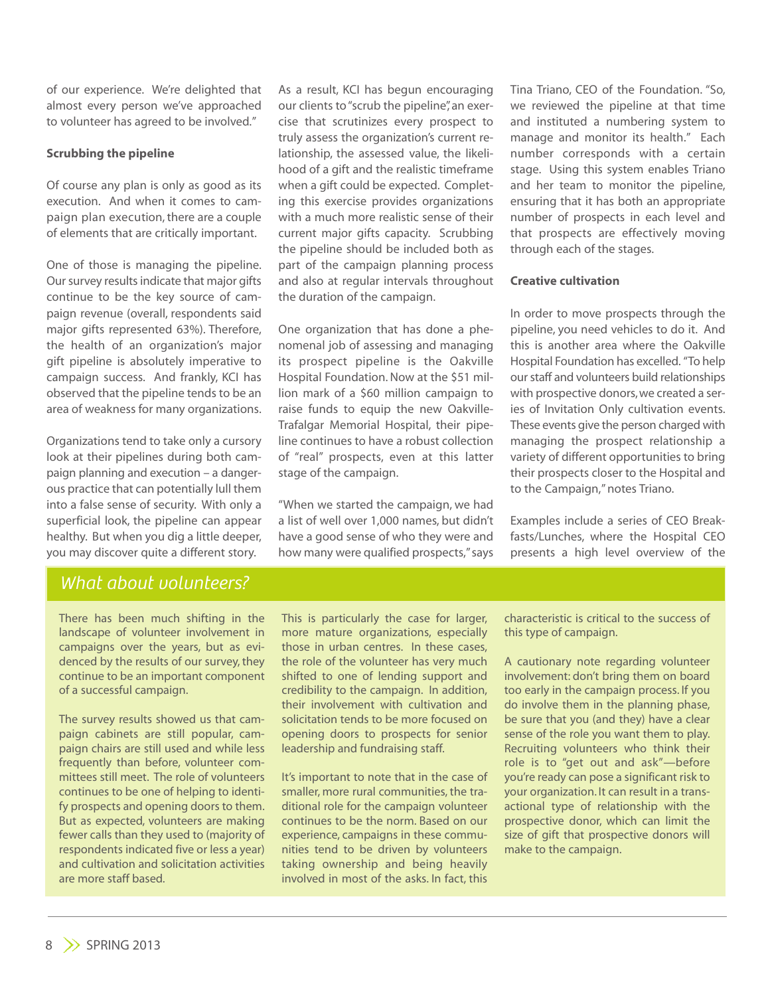of our experience. We're delighted that almost every person we've approached to volunteer has agreed to be involved."

## **Scrubbing the pipeline**

Of course any plan is only as good as its execution. And when it comes to campaign plan execution, there are a couple of elements that are critically important.

One of those is managing the pipeline. Our survey results indicate that major gifts continue to be the key source of campaign revenue (overall, respondents said major gifts represented 63%). Therefore, the health of an organization's major gift pipeline is absolutely imperative to campaign success. And frankly, KCI has observed that the pipeline tends to be an area of weakness for many organizations.

Organizations tend to take only a cursory look at their pipelines during both campaign planning and execution – a dangerous practice that can potentially lull them into a false sense of security. With only a superficial look, the pipeline can appear healthy. But when you dig a little deeper, you may discover quite a different story.

As a result, KCI has begun encouraging our clients to"scrub the pipeline", an exercise that scrutinizes every prospect to truly assess the organization's current relationship, the assessed value, the likelihood of a gift and the realistic timeframe when a gift could be expected. Completing this exercise provides organizations with a much more realistic sense of their current major gifts capacity. Scrubbing the pipeline should be included both as part of the campaign planning process and also at regular intervals throughout the duration of the campaign.

One organization that has done a phenomenal job of assessing and managing its prospect pipeline is the Oakville Hospital Foundation.Now at the \$51 million mark of a \$60 million campaign to raise funds to equip the new Oakville-Trafalgar Memorial Hospital, their pipeline continues to have a robust collection of "real" prospects, even at this latter stage of the campaign.

"When we started the campaign, we had a list of well over 1,000 names, but didn't have a good sense of who they were and how many were qualified prospects,"says

Tina Triano, CEO of the Foundation. "So, we reviewed the pipeline at that time and instituted a numbering system to manage and monitor its health." Each number corresponds with a certain stage. Using this system enables Triano and her team to monitor the pipeline, ensuring that it has both an appropriate number of prospects in each level and that prospects are effectively moving through each of the stages.

#### **Creative cultivation**

In order to move prospects through the pipeline, you need vehicles to do it. And this is another area where the Oakville Hospital Foundation has excelled. "To help our staff and volunteers build relationships with prospective donors,we created a series of Invitation Only cultivation events. These events give the person charged with managing the prospect relationship a variety of different opportunities to bring their prospects closer to the Hospital and to the Campaign,"notes Triano.

Examples include a series of CEO Breakfasts/Lunches, where the Hospital CEO presents a high level overview of the

## *What about volunteers?*

There has been much shifting in the landscape of volunteer involvement in campaigns over the years, but as evidenced by the results of our survey, they continue to be an important component of a successful campaign.

The survey results showed us that campaign cabinets are still popular, campaign chairs are still used and while less frequently than before, volunteer committees still meet. The role of volunteers continues to be one of helping to identify prospects and opening doors to them. But as expected, volunteers are making fewer calls than they used to (majority of respondents indicated five or less a year) and cultivation and solicitation activities are more staff based.

This is particularly the case for larger, more mature organizations, especially those in urban centres. In these cases, the role of the volunteer has very much shifted to one of lending support and credibility to the campaign. In addition, their involvement with cultivation and solicitation tends to be more focused on opening doors to prospects for senior leadership and fundraising staff.

It's important to note that in the case of smaller, more rural communities, the traditional role for the campaign volunteer continues to be the norm. Based on our experience, campaigns in these communities tend to be driven by volunteers taking ownership and being heavily involved in most of the asks. In fact, this characteristic is critical to the success of this type of campaign.

A cautionary note regarding volunteer involvement: don't bring them on board too early in the campaign process. If you do involve them in the planning phase, be sure that you (and they) have a clear sense of the role you want them to play. Recruiting volunteers who think their role is to "get out and ask"—before you're ready can pose a significant risk to your organization. It can result in a transactional type of relationship with the prospective donor, which can limit the size of gift that prospective donors will make to the campaign.